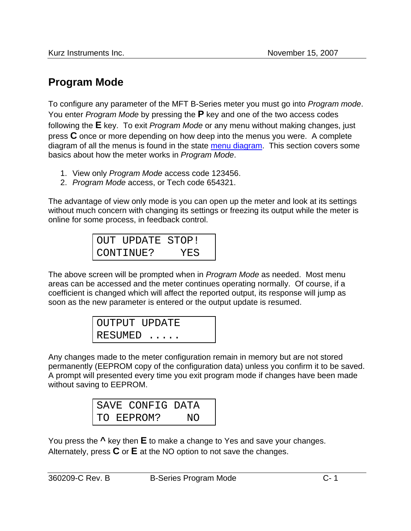## **Program Mode**

To configure any parameter of the MFT B-Series meter you must go into *Program mode*. You enter *Program Mode* by pressing the **P** key and one of the two access codes following the **E** key. To exit *Program Mode* or any menu without making changes, just press **C** once or more depending on how deep into the menus you were. A complete diagram of all the menus is found in the state menu diagram. This section covers some basics about how the meter works in *Program Mode*.

- 1. View only *Program Mode* access code 123456.
- 2. *Program Mode* access, or Tech code 654321.

The advantage of view only mode is you can open up the meter and look at its settings without much concern with changing its settings or freezing its output while the meter is online for some process, in feedback control.

> OUT UPDATE STOP! CONTINUE? YES

The above screen will be prompted when in *Program Mode* as needed. Most menu areas can be accessed and the meter continues operating normally. Of course, if a coefficient is changed which will affect the reported output, its response will jump as soon as the new parameter is entered or the output update is resumed.

| OUTPUT UPDATE                   |  |
|---------------------------------|--|
| $\,$ I RESUMED $\, \ldots \, .$ |  |

Any changes made to the meter configuration remain in memory but are not stored permanently (EEPROM copy of the configuration data) unless you confirm it to be saved. A prompt will presented every time you exit program mode if changes have been made without saving to EEPROM.

|  | SAVE CONFIG DATA |     |  |
|--|------------------|-----|--|
|  | TO EEPROM?       | NO. |  |

You press the **^** key then **E** to make a change to Yes and save your changes. Alternately, press **C** or **E** at the NO option to not save the changes.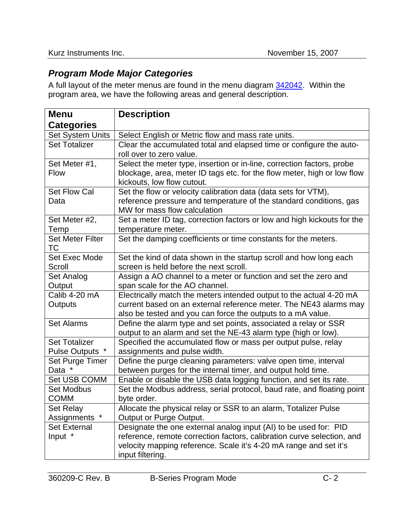## *Program Mode Major Categories*

A full layout of the meter menus are found in the menu diagram 342042. Within the program area, we have the following areas and general description.

| <b>Menu</b>             | <b>Description</b>                                                                                                                          |
|-------------------------|---------------------------------------------------------------------------------------------------------------------------------------------|
| <b>Categories</b>       |                                                                                                                                             |
| <b>Set System Units</b> | Select English or Metric flow and mass rate units.                                                                                          |
| <b>Set Totalizer</b>    | Clear the accumulated total and elapsed time or configure the auto-                                                                         |
|                         | roll over to zero value.                                                                                                                    |
| Set Meter #1,           | Select the meter type, insertion or in-line, correction factors, probe                                                                      |
| <b>Flow</b>             | blockage, area, meter ID tags etc. for the flow meter, high or low flow<br>kickouts, low flow cutout.                                       |
| <b>Set Flow Cal</b>     | Set the flow or velocity calibration data (data sets for VTM),                                                                              |
| Data                    | reference pressure and temperature of the standard conditions, gas                                                                          |
|                         | MW for mass flow calculation                                                                                                                |
| Set Meter #2,           | Set a meter ID tag, correction factors or low and high kickouts for the                                                                     |
| Temp                    | temperature meter.                                                                                                                          |
| <b>Set Meter Filter</b> | Set the damping coefficients or time constants for the meters.                                                                              |
| ТC<br>Set Exec Mode     |                                                                                                                                             |
| Scroll                  | Set the kind of data shown in the startup scroll and how long each<br>screen is held before the next scroll.                                |
| Set Analog              | Assign a AO channel to a meter or function and set the zero and                                                                             |
| Output                  | span scale for the AO channel.                                                                                                              |
| Calib 4-20 mA           | Electrically match the meters intended output to the actual 4-20 mA                                                                         |
| Outputs                 | current based on an external reference meter. The NE43 alarms may                                                                           |
|                         | also be tested and you can force the outputs to a mA value.                                                                                 |
| <b>Set Alarms</b>       | Define the alarm type and set points, associated a relay or SSR                                                                             |
|                         | output to an alarm and set the NE-43 alarm type (high or low).                                                                              |
| <b>Set Totalizer</b>    | Specified the accumulated flow or mass per output pulse, relay                                                                              |
| Pulse Outputs *         | assignments and pulse width.                                                                                                                |
| Set Purge Timer         | Define the purge cleaning parameters: valve open time, interval                                                                             |
| Data *                  | between purges for the internal timer, and output hold time.                                                                                |
| Set USB COMM            | Enable or disable the USB data logging function, and set its rate.                                                                          |
| <b>Set Modbus</b>       | Set the Modbus address, serial protocol, baud rate, and floating point                                                                      |
| <b>COMM</b>             | byte order.                                                                                                                                 |
| Set Relay               | Allocate the physical relay or SSR to an alarm, Totalizer Pulse                                                                             |
| Assignments *           | Output or Purge Output.                                                                                                                     |
| <b>Set External</b>     | Designate the one external analog input (AI) to be used for: PID                                                                            |
| Input *                 | reference, remote correction factors, calibration curve selection, and<br>velocity mapping reference. Scale it's 4-20 mA range and set it's |
|                         | input filtering.                                                                                                                            |
|                         |                                                                                                                                             |